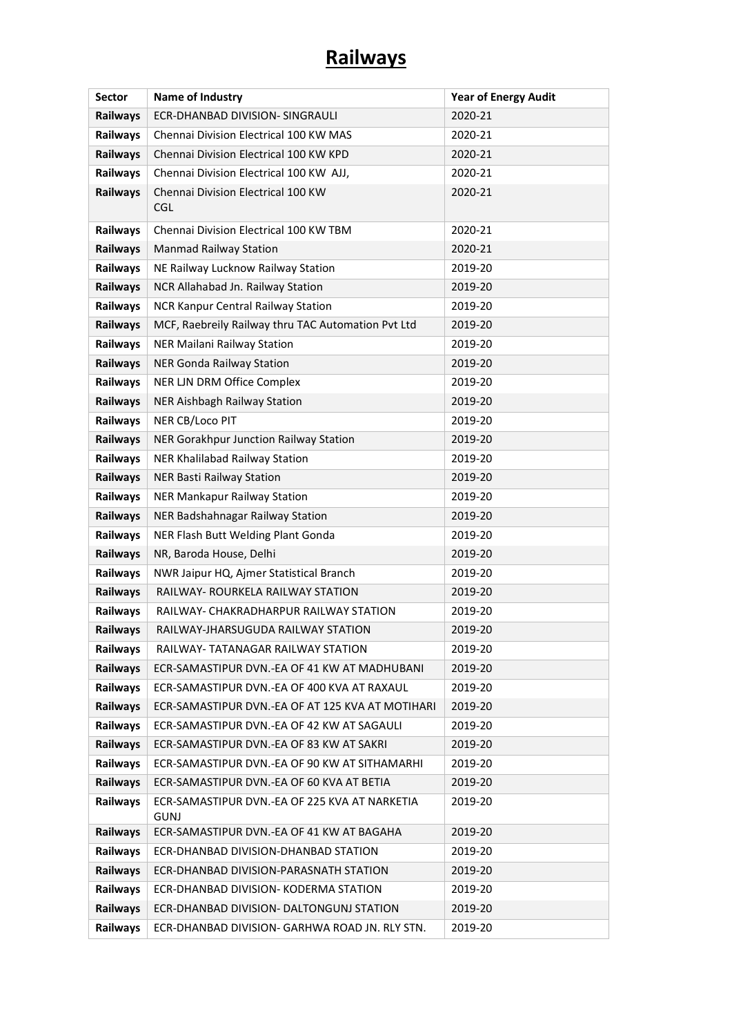## **Railways**

| <b>Sector</b>   | Name of Industry                                             | <b>Year of Energy Audit</b> |
|-----------------|--------------------------------------------------------------|-----------------------------|
| <b>Railways</b> | ECR-DHANBAD DIVISION- SINGRAULI                              | 2020-21                     |
| <b>Railways</b> | Chennai Division Electrical 100 KW MAS                       | 2020-21                     |
| Railways        | Chennai Division Electrical 100 KW KPD                       | 2020-21                     |
| Railways        | Chennai Division Electrical 100 KW AJJ,                      | 2020-21                     |
| Railways        | Chennai Division Electrical 100 KW<br><b>CGL</b>             | 2020-21                     |
| Railways        | Chennai Division Electrical 100 KW TBM                       | 2020-21                     |
| <b>Railways</b> | Manmad Railway Station                                       | 2020-21                     |
| Railways        | NE Railway Lucknow Railway Station                           | 2019-20                     |
| Railways        | NCR Allahabad Jn. Railway Station                            | 2019-20                     |
| Railways        | NCR Kanpur Central Railway Station                           | 2019-20                     |
| <b>Railways</b> | MCF, Raebreily Railway thru TAC Automation Pvt Ltd           | 2019-20                     |
| <b>Railways</b> | NER Mailani Railway Station                                  | 2019-20                     |
| Railways        | <b>NER Gonda Railway Station</b>                             | 2019-20                     |
| Railways        | NER LJN DRM Office Complex                                   | 2019-20                     |
| Railways        | NER Aishbagh Railway Station                                 | 2019-20                     |
| Railways        | NER CB/Loco PIT                                              | 2019-20                     |
| Railways        | NER Gorakhpur Junction Railway Station                       | 2019-20                     |
| Railways        | NER Khalilabad Railway Station                               | 2019-20                     |
| Railways        | <b>NER Basti Railway Station</b>                             | 2019-20                     |
| Railways        | NER Mankapur Railway Station                                 | 2019-20                     |
| Railways        | NER Badshahnagar Railway Station                             | 2019-20                     |
| Railways        | NER Flash Butt Welding Plant Gonda                           | 2019-20                     |
| Railways        | NR, Baroda House, Delhi                                      | 2019-20                     |
| Railways        | NWR Jaipur HQ, Ajmer Statistical Branch                      | 2019-20                     |
| Railways        | RAILWAY- ROURKELA RAILWAY STATION                            | 2019-20                     |
| Railways        | RAILWAY- CHAKRADHARPUR RAILWAY STATION                       | 2019-20                     |
| Railways        | RAILWAY-JHARSUGUDA RAILWAY STATION                           | 2019-20                     |
| Railways        | <b>RAILWAY- TATANAGAR RAILWAY STATION</b>                    | 2019-20                     |
| Railways        | ECR-SAMASTIPUR DVN.-EA OF 41 KW AT MADHUBANI                 | 2019-20                     |
| <b>Railways</b> | ECR-SAMASTIPUR DVN.-EA OF 400 KVA AT RAXAUL                  | 2019-20                     |
| Railways        | ECR-SAMASTIPUR DVN.-EA OF AT 125 KVA AT MOTIHARI             | 2019-20                     |
| <b>Railways</b> | ECR-SAMASTIPUR DVN.-EA OF 42 KW AT SAGAULI                   | 2019-20                     |
| <b>Railways</b> | ECR-SAMASTIPUR DVN.-EA OF 83 KW AT SAKRI                     | 2019-20                     |
| Railways        | ECR-SAMASTIPUR DVN.-EA OF 90 KW AT SITHAMARHI                | 2019-20                     |
| Railways        | ECR-SAMASTIPUR DVN.-EA OF 60 KVA AT BETIA                    | 2019-20                     |
| <b>Railways</b> | ECR-SAMASTIPUR DVN.-EA OF 225 KVA AT NARKETIA<br><b>GUNJ</b> | 2019-20                     |
| Railways        | ECR-SAMASTIPUR DVN.-EA OF 41 KW AT BAGAHA                    | 2019-20                     |
| Railways        | ECR-DHANBAD DIVISION-DHANBAD STATION                         | 2019-20                     |
| Railways        | ECR-DHANBAD DIVISION-PARASNATH STATION                       | 2019-20                     |
| Railways        | ECR-DHANBAD DIVISION- KODERMA STATION                        | 2019-20                     |
| <b>Railways</b> | ECR-DHANBAD DIVISION- DALTONGUNJ STATION                     | 2019-20                     |
| Railways        | ECR-DHANBAD DIVISION- GARHWA ROAD JN. RLY STN.               | 2019-20                     |